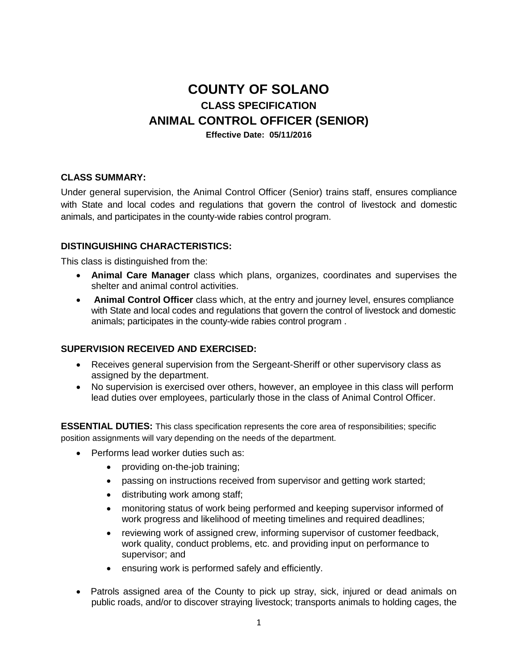# **COUNTY OF SOLANO CLASS SPECIFICATION ANIMAL CONTROL OFFICER (SENIOR)**

### **Effective Date: 05/11/2016**

## **CLASS SUMMARY:**

Under general supervision, the Animal Control Officer (Senior) trains staff, ensures compliance with State and local codes and regulations that govern the control of livestock and domestic animals, and participates in the county-wide rabies control program.

## **DISTINGUISHING CHARACTERISTICS:**

This class is distinguished from the:

- **Animal Care Manager** class which plans, organizes, coordinates and supervises the shelter and animal control activities.
- **Animal Control Officer** class which, at the entry and journey level, ensures compliance with State and local codes and regulations that govern the control of livestock and domestic animals; participates in the county-wide rabies control program .

## **SUPERVISION RECEIVED AND EXERCISED:**

- Receives general supervision from the Sergeant-Sheriff or other supervisory class as assigned by the department.
- No supervision is exercised over others, however, an employee in this class will perform lead duties over employees, particularly those in the class of Animal Control Officer.

**ESSENTIAL DUTIES:** This class specification represents the core area of responsibilities; specific position assignments will vary depending on the needs of the department.

- Performs lead worker duties such as:
	- providing on-the-job training;
	- passing on instructions received from supervisor and getting work started;
	- distributing work among staff;
	- monitoring status of work being performed and keeping supervisor informed of work progress and likelihood of meeting timelines and required deadlines;
	- reviewing work of assigned crew, informing supervisor of customer feedback, work quality, conduct problems, etc. and providing input on performance to supervisor; and
	- ensuring work is performed safely and efficiently.
- Patrols assigned area of the County to pick up stray, sick, injured or dead animals on public roads, and/or to discover straying livestock; transports animals to holding cages, the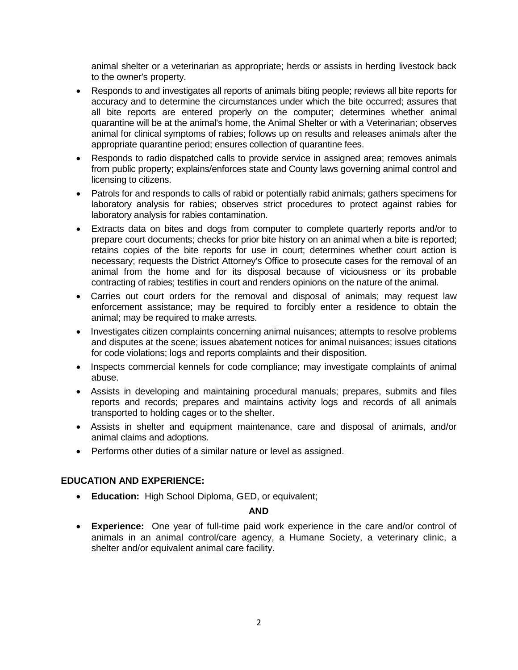animal shelter or a veterinarian as appropriate; herds or assists in herding livestock back to the owner's property.

- Responds to and investigates all reports of animals biting people; reviews all bite reports for accuracy and to determine the circumstances under which the bite occurred; assures that all bite reports are entered properly on the computer; determines whether animal quarantine will be at the animal's home, the Animal Shelter or with a Veterinarian; observes animal for clinical symptoms of rabies; follows up on results and releases animals after the appropriate quarantine period; ensures collection of quarantine fees.
- Responds to radio dispatched calls to provide service in assigned area; removes animals from public property; explains/enforces state and County laws governing animal control and licensing to citizens.
- Patrols for and responds to calls of rabid or potentially rabid animals; gathers specimens for laboratory analysis for rabies; observes strict procedures to protect against rabies for laboratory analysis for rabies contamination.
- Extracts data on bites and dogs from computer to complete quarterly reports and/or to prepare court documents; checks for prior bite history on an animal when a bite is reported; retains copies of the bite reports for use in court; determines whether court action is necessary; requests the District Attorney's Office to prosecute cases for the removal of an animal from the home and for its disposal because of viciousness or its probable contracting of rabies; testifies in court and renders opinions on the nature of the animal.
- Carries out court orders for the removal and disposal of animals; may request law enforcement assistance; may be required to forcibly enter a residence to obtain the animal; may be required to make arrests.
- Investigates citizen complaints concerning animal nuisances; attempts to resolve problems and disputes at the scene; issues abatement notices for animal nuisances; issues citations for code violations; logs and reports complaints and their disposition.
- Inspects commercial kennels for code compliance; may investigate complaints of animal abuse.
- Assists in developing and maintaining procedural manuals; prepares, submits and files reports and records; prepares and maintains activity logs and records of all animals transported to holding cages or to the shelter.
- Assists in shelter and equipment maintenance, care and disposal of animals, and/or animal claims and adoptions.
- Performs other duties of a similar nature or level as assigned.

## **EDUCATION AND EXPERIENCE:**

**Education:** High School Diploma, GED, or equivalent;

#### **AND**

 **Experience:** One year of full-time paid work experience in the care and/or control of animals in an animal control/care agency, a Humane Society, a veterinary clinic, a shelter and/or equivalent animal care facility.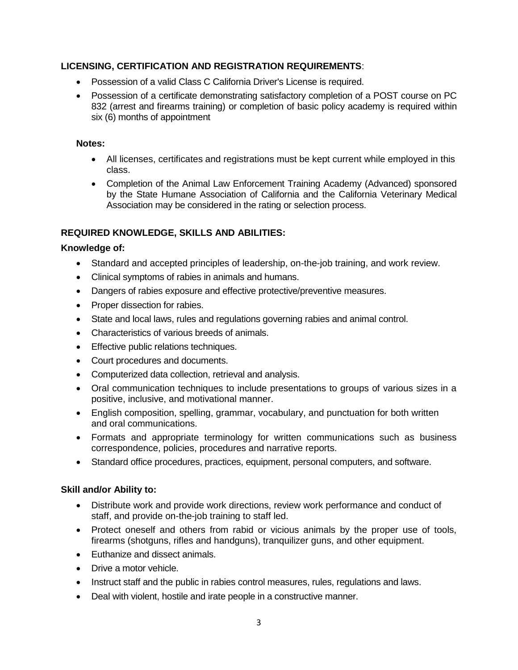# **LICENSING, CERTIFICATION AND REGISTRATION REQUIREMENTS**:

- Possession of a valid Class C California Driver's License is required.
- Possession of a certificate demonstrating satisfactory completion of a POST course on PC 832 (arrest and firearms training) or completion of basic policy academy is required within six (6) months of appointment

#### **Notes:**

- All licenses, certificates and registrations must be kept current while employed in this class.
- Completion of the Animal Law Enforcement Training Academy (Advanced) sponsored by the State Humane Association of California and the California Veterinary Medical Association may be considered in the rating or selection process.

# **REQUIRED KNOWLEDGE, SKILLS AND ABILITIES:**

## **Knowledge of:**

- Standard and accepted principles of leadership, on-the-job training, and work review.
- Clinical symptoms of rabies in animals and humans.
- Dangers of rabies exposure and effective protective/preventive measures.
- Proper dissection for rabies.
- State and local laws, rules and regulations governing rabies and animal control.
- Characteristics of various breeds of animals.
- **Effective public relations techniques.**
- Court procedures and documents.
- Computerized data collection, retrieval and analysis.
- Oral communication techniques to include presentations to groups of various sizes in a positive, inclusive, and motivational manner.
- English composition, spelling, grammar, vocabulary, and punctuation for both written and oral communications.
- Formats and appropriate terminology for written communications such as business correspondence, policies, procedures and narrative reports.
- Standard office procedures, practices, equipment, personal computers, and software.

## **Skill and/or Ability to:**

- Distribute work and provide work directions, review work performance and conduct of staff, and provide on-the-job training to staff led.
- Protect oneself and others from rabid or vicious animals by the proper use of tools, firearms (shotguns, rifles and handguns), tranquilizer guns, and other equipment.
- Euthanize and dissect animals.
- Drive a motor vehicle.
- Instruct staff and the public in rabies control measures, rules, regulations and laws.
- Deal with violent, hostile and irate people in a constructive manner.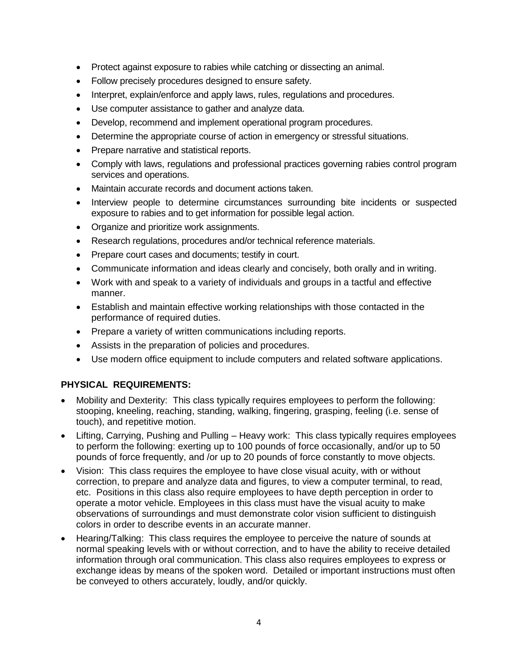- Protect against exposure to rabies while catching or dissecting an animal.
- Follow precisely procedures designed to ensure safety.
- Interpret, explain/enforce and apply laws, rules, regulations and procedures.
- Use computer assistance to gather and analyze data.
- Develop, recommend and implement operational program procedures.
- Determine the appropriate course of action in emergency or stressful situations.
- Prepare narrative and statistical reports.
- Comply with laws, regulations and professional practices governing rabies control program services and operations.
- Maintain accurate records and document actions taken.
- Interview people to determine circumstances surrounding bite incidents or suspected exposure to rabies and to get information for possible legal action.
- Organize and prioritize work assignments.
- Research regulations, procedures and/or technical reference materials.
- Prepare court cases and documents; testify in court.
- Communicate information and ideas clearly and concisely, both orally and in writing.
- Work with and speak to a variety of individuals and groups in a tactful and effective manner.
- Establish and maintain effective working relationships with those contacted in the performance of required duties.
- Prepare a variety of written communications including reports.
- Assists in the preparation of policies and procedures.
- Use modern office equipment to include computers and related software applications.

# **PHYSICAL REQUIREMENTS:**

- Mobility and Dexterity: This class typically requires employees to perform the following: stooping, kneeling, reaching, standing, walking, fingering, grasping, feeling (i.e. sense of touch), and repetitive motion.
- Lifting, Carrying, Pushing and Pulling Heavy work: This class typically requires employees to perform the following: exerting up to 100 pounds of force occasionally, and/or up to 50 pounds of force frequently, and /or up to 20 pounds of force constantly to move objects.
- Vision: This class requires the employee to have close visual acuity, with or without correction, to prepare and analyze data and figures, to view a computer terminal, to read, etc. Positions in this class also require employees to have depth perception in order to operate a motor vehicle. Employees in this class must have the visual acuity to make observations of surroundings and must demonstrate color vision sufficient to distinguish colors in order to describe events in an accurate manner.
- Hearing/Talking: This class requires the employee to perceive the nature of sounds at normal speaking levels with or without correction, and to have the ability to receive detailed information through oral communication. This class also requires employees to express or exchange ideas by means of the spoken word. Detailed or important instructions must often be conveyed to others accurately, loudly, and/or quickly.